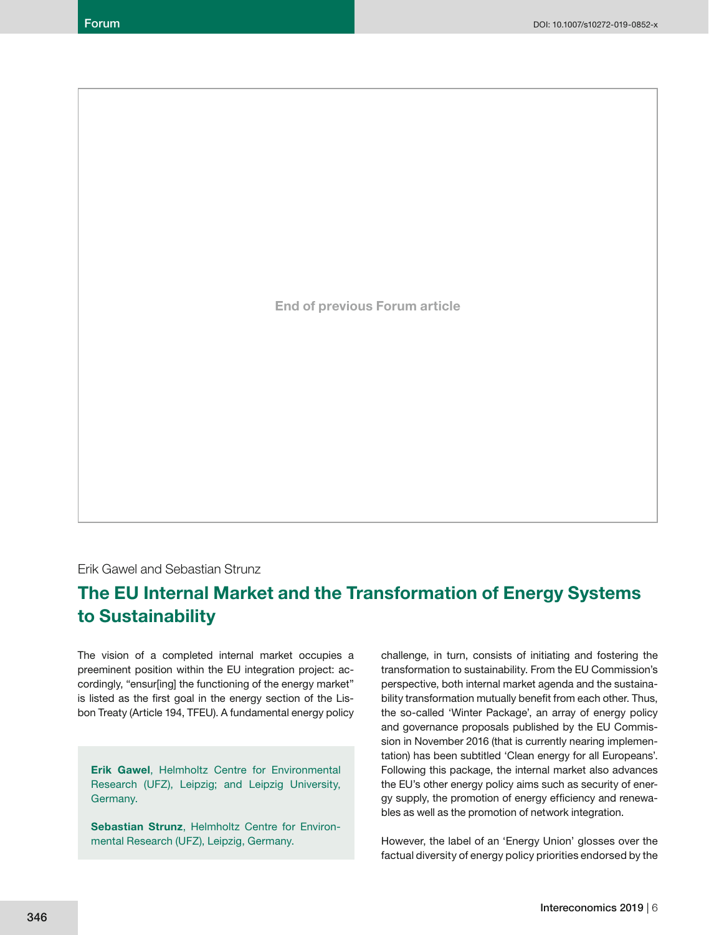**End of previous Forum article**

Erik Gawel and Sebastian Strunz

# **The EU Internal Market and the Transformation of Energy Systems to Sustainability**

The vision of a completed internal market occupies a preeminent position within the EU integration project: accordingly, "ensur[ing] the functioning of the energy market" is listed as the first goal in the energy section of the Lisbon Treaty (Article 194, TFEU). A fundamental energy policy

**Erik Gawel**, Helmholtz Centre for Environmental Research (UFZ), Leipzig; and Leipzig University, Germany.

**Sebastian Strunz**, Helmholtz Centre for Environmental Research (UFZ), Leipzig, Germany.

challenge, in turn, consists of initiating and fostering the transformation to sustainability. From the EU Commission's perspective, both internal market agenda and the sustainability transformation mutually benefit from each other. Thus, the so-called 'Winter Package', an array of energy policy and governance proposals published by the EU Commission in November 2016 (that is currently nearing implementation) has been subtitled 'Clean energy for all Europeans'. Following this package, the internal market also advances the EU's other energy policy aims such as security of energy supply, the promotion of energy efficiency and renewables as well as the promotion of network integration.

However, the label of an 'Energy Union' glosses over the factual diversity of energy policy priorities endorsed by the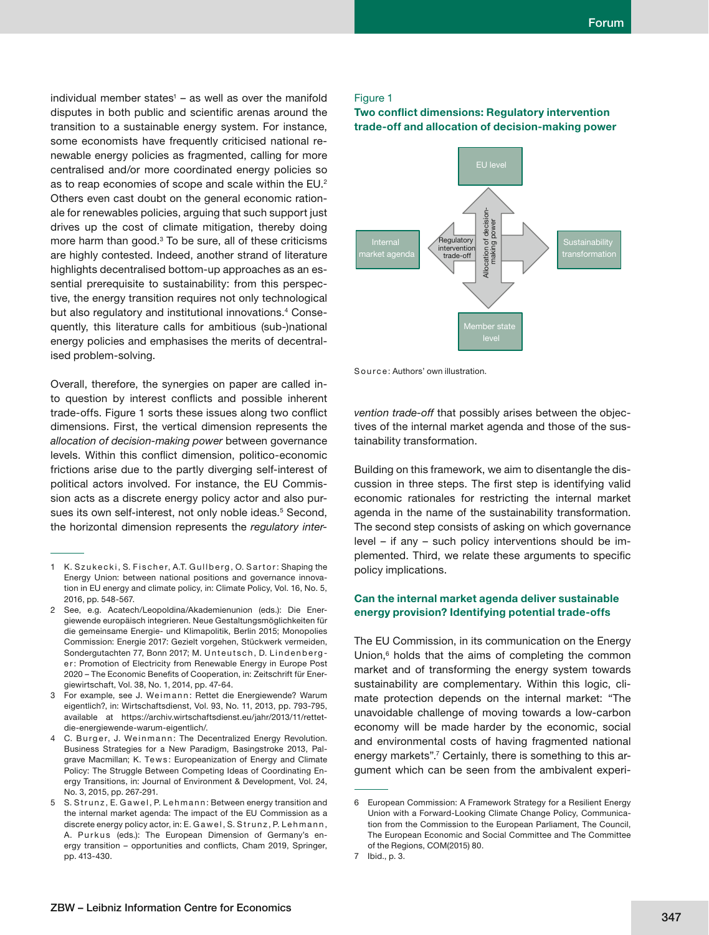individual member states<sup>1</sup> – as well as over the manifold disputes in both public and scientific arenas around the transition to a sustainable energy system. For instance, some economists have frequently criticised national renewable energy policies as fragmented, calling for more centralised and/or more coordinated energy policies so as to reap economies of scope and scale within the EU.<sup>2</sup> Others even cast doubt on the general economic rationale for renewables policies, arguing that such support just drives up the cost of climate mitigation, thereby doing more harm than good. $3$  To be sure, all of these criticisms are highly contested. Indeed, another strand of literature highlights decentralised bottom-up approaches as an essential prerequisite to sustainability: from this perspective, the energy transition requires not only technological but also regulatory and institutional innovations.4 Consequently, this literature calls for ambitious (sub-)national energy policies and emphasises the merits of decentralised problem-solving.

Overall, therefore, the synergies on paper are called into question by interest conflicts and possible inherent trade-offs. Figure 1 sorts these issues along two conflict dimensions. First, the vertical dimension represents the *allocation of decision-making power* between governance levels. Within this conflict dimension, politico-economic frictions arise due to the partly diverging self-interest of political actors involved. For instance, the EU Commission acts as a discrete energy policy actor and also pursues its own self-interest, not only noble ideas.<sup>5</sup> Second, the horizontal dimension represents the *regulatory inter-*

- 1 K. Szukecki, S. Fischer, A.T. Gullberg, O. Sartor: Shaping the Energy Union: between national positions and governance innovation in EU energy and climate policy, in: Climate Policy, Vol. 16, No. 5, 2016, pp. 548-567.
- 2 See, e.g. Acatech/Leopoldina/Akademienunion (eds.): Die Energiewende europäisch integrieren. Neue Gestaltungsmöglichkeiten für die gemeinsame Energie- und Klimapolitik, Berlin 2015; Monopolies Commission: Energie 2017: Gezielt vorgehen, Stückwerk vermeiden, Sondergutachten 77, Bonn 2017; M. Unteutsch, D. Lindenberger: Promotion of Electricity from Renewable Energy in Europe Post 2020 – The Economic Benefits of Cooperation, in: Zeitschrift für Energiewirtschaft, Vol. 38, No. 1, 2014, pp. 47-64.
- 3 For example, see J. Weimann: Rettet die Energiewende? Warum eigentlich?, in: Wirtschaftsdienst, Vol. 93, No. 11, 2013, pp. 793-795, available at https://archiv.wirtschaftsdienst.eu/jahr/2013/11/rettetdie-energiewende-warum-eigentlich/.
- 4 C. Burger, J. Weinmann: The Decentralized Energy Revolution. Business Strategies for a New Paradigm, Basingstroke 2013, Palgrave Macmillan; K. Tews: Europeanization of Energy and Climate Policy: The Struggle Between Competing Ideas of Coordinating Energy Transitions, in: Journal of Environment & Development, Vol. 24, No. 3, 2015, pp. 267-291.
- 5 S. Strunz, E. Gawel, P. Lehmann: Between energy transition and the internal market agenda: The impact of the EU Commission as a discrete energy policy actor, in: E. Gawel, S. Strunz, P. Lehmann, A. Purkus (eds.): The European Dimension of Germany's energy transition – opportunities and conflicts, Cham 2019, Springer, pp. 413-430.

#### Figure 1

## **Two conflict dimensions: Regulatory intervention trade-off and allocation of decision-making power**



Source: Authors' own illustration.

*vention trade-off* that possibly arises between the objectives of the internal market agenda and those of the sustainability transformation.

Building on this framework, we aim to disentangle the discussion in three steps. The first step is identifying valid economic rationales for restricting the internal market agenda in the name of the sustainability transformation. The second step consists of asking on which governance level – if any – such policy interventions should be implemented. Third, we relate these arguments to specific policy implications.

# **Can the internal market agenda deliver sustainable energy provision? Identifying potential trade-offs**

The EU Commission, in its communication on the Energy Union,<sup>6</sup> holds that the aims of completing the common market and of transforming the energy system towards sustainability are complementary. Within this logic, climate protection depends on the internal market: "The unavoidable challenge of moving towards a low-carbon economy will be made harder by the economic, social and environmental costs of having fragmented national energy markets".<sup>7</sup> Certainly, there is something to this argument which can be seen from the ambivalent experi-

<sup>6</sup> European Commission: A Framework Strategy for a Resilient Energy Union with a Forward-Looking Climate Change Policy, Communication from the Commission to the European Parliament, The Council, The European Economic and Social Committee and The Committee of the Regions, COM(2015) 80.

<sup>7</sup> Ibid., p. 3.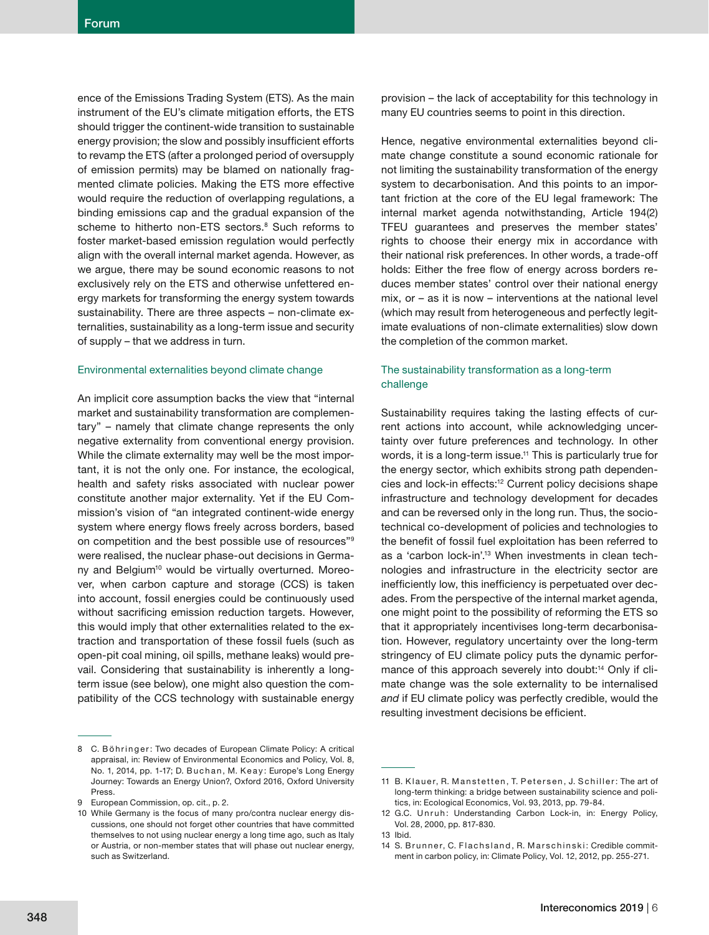ence of the Emissions Trading System (ETS). As the main instrument of the EU's climate mitigation efforts, the ETS should trigger the continent-wide transition to sustainable energy provision; the slow and possibly insufficient efforts to revamp the ETS (after a prolonged period of oversupply of emission permits) may be blamed on nationally fragmented climate policies. Making the ETS more effective would require the reduction of overlapping regulations, a binding emissions cap and the gradual expansion of the scheme to hitherto non-ETS sectors.<sup>8</sup> Such reforms to foster market-based emission regulation would perfectly align with the overall internal market agenda. However, as we argue, there may be sound economic reasons to not exclusively rely on the ETS and otherwise unfettered energy markets for transforming the energy system towards sustainability. There are three aspects – non-climate externalities, sustainability as a long-term issue and security of supply – that we address in turn.

### Environmental externalities beyond climate change

An implicit core assumption backs the view that "internal market and sustainability transformation are complementary" – namely that climate change represents the only negative externality from conventional energy provision. While the climate externality may well be the most important, it is not the only one. For instance, the ecological, health and safety risks associated with nuclear power constitute another major externality. Yet if the EU Commission's vision of "an integrated continent-wide energy system where energy flows freely across borders, based on competition and the best possible use of resources"9 were realised, the nuclear phase-out decisions in Germany and Belgium<sup>10</sup> would be virtually overturned. Moreover, when carbon capture and storage (CCS) is taken into account, fossil energies could be continuously used without sacrificing emission reduction targets. However, this would imply that other externalities related to the extraction and transportation of these fossil fuels (such as open-pit coal mining, oil spills, methane leaks) would prevail. Considering that sustainability is inherently a longterm issue (see below), one might also question the compatibility of the CCS technology with sustainable energy

provision – the lack of acceptability for this technology in many EU countries seems to point in this direction.

Hence, negative environmental externalities beyond climate change constitute a sound economic rationale for not limiting the sustainability transformation of the energy system to decarbonisation. And this points to an important friction at the core of the EU legal framework: The internal market agenda notwithstanding, Article 194(2) TFEU guarantees and preserves the member states' rights to choose their energy mix in accordance with their national risk preferences. In other words, a trade-off holds: Either the free flow of energy across borders reduces member states' control over their national energy mix, or – as it is now – interventions at the national level (which may result from heterogeneous and perfectly legitimate evaluations of non-climate externalities) slow down the completion of the common market.

# The sustainability transformation as a long-term challenge

Sustainability requires taking the lasting effects of current actions into account, while acknowledging uncertainty over future preferences and technology. In other words, it is a long-term issue.<sup>11</sup> This is particularly true for the energy sector, which exhibits strong path dependencies and lock-in effects:<sup>12</sup> Current policy decisions shape infrastructure and technology development for decades and can be reversed only in the long run. Thus, the sociotechnical co-development of policies and technologies to the benefit of fossil fuel exploitation has been referred to as a 'carbon lock-in'.<sup>13</sup> When investments in clean technologies and infrastructure in the electricity sector are inefficiently low, this inefficiency is perpetuated over decades. From the perspective of the internal market agenda, one might point to the possibility of reforming the ETS so that it appropriately incentivises long-term decarbonisation. However, regulatory uncertainty over the long-term stringency of EU climate policy puts the dynamic performance of this approach severely into doubt:<sup>14</sup> Only if climate change was the sole externality to be internalised *and* if EU climate policy was perfectly credible, would the resulting investment decisions be efficient.

<sup>8</sup> C. Böhringer: Two decades of European Climate Policy: A critical appraisal, in: Review of Environmental Economics and Policy, Vol. 8, No. 1, 2014, pp. 1-17; D. Buchan, M. Keay: Europe's Long Energy Journey: Towards an Energy Union?, Oxford 2016, Oxford University Press.

<sup>9</sup> European Commission, op. cit., p. 2.

<sup>10</sup> While Germany is the focus of many pro/contra nuclear energy discussions, one should not forget other countries that have committed themselves to not using nuclear energy a long time ago, such as Italy or Austria, or non-member states that will phase out nuclear energy, such as Switzerland.

<sup>11</sup> B. Klauer, R. Manstetten, T. Petersen, J. Schiller: The art of long-term thinking: a bridge between sustainability science and politics, in: Ecological Economics, Vol. 93, 2013, pp. 79-84.

<sup>12</sup> G.C. Unruh: Understanding Carbon Lock-in, in: Energy Policy, Vol. 28, 2000, pp. 817-830.

<sup>13</sup> Ibid.

<sup>14</sup> S. Brunner, C. Flachsland, R. Marschinski: Credible commitment in carbon policy, in: Climate Policy, Vol. 12, 2012, pp. 255-271.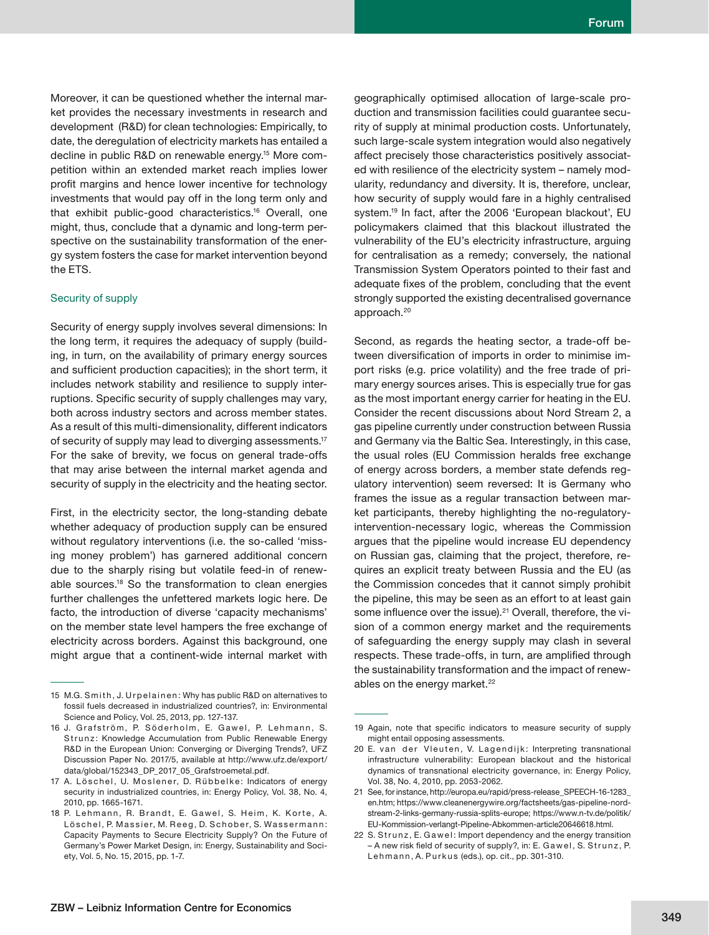Moreover, it can be questioned whether the internal market provides the necessary investments in research and development (R&D) for clean technologies: Empirically, to date, the deregulation of electricity markets has entailed a decline in public R&D on renewable energy.15 More competition within an extended market reach implies lower profit margins and hence lower incentive for technology investments that would pay off in the long term only and that exhibit public-good characteristics.16 Overall, one might, thus, conclude that a dynamic and long-term perspective on the sustainability transformation of the energy system fosters the case for market intervention beyond the ETS.

#### Security of supply

Security of energy supply involves several dimensions: In the long term, it requires the adequacy of supply (building, in turn, on the availability of primary energy sources and sufficient production capacities); in the short term, it includes network stability and resilience to supply interruptions. Specific security of supply challenges may vary, both across industry sectors and across member states. As a result of this multi-dimensionality, different indicators of security of supply may lead to diverging assessments.17 For the sake of brevity, we focus on general trade-offs that may arise between the internal market agenda and security of supply in the electricity and the heating sector.

First, in the electricity sector, the long-standing debate whether adequacy of production supply can be ensured without regulatory interventions (i.e. the so-called 'missing money problem') has garnered additional concern due to the sharply rising but volatile feed-in of renewable sources.18 So the transformation to clean energies further challenges the unfettered markets logic here. De facto, the introduction of diverse 'capacity mechanisms' on the member state level hampers the free exchange of electricity across borders. Against this background, one might argue that a continent-wide internal market with geographically optimised allocation of large-scale production and transmission facilities could guarantee security of supply at minimal production costs. Unfortunately, such large-scale system integration would also negatively affect precisely those characteristics positively associated with resilience of the electricity system – namely modularity, redundancy and diversity. It is, therefore, unclear, how security of supply would fare in a highly centralised system.19 In fact, after the 2006 'European blackout', EU policymakers claimed that this blackout illustrated the vulnerability of the EU's electricity infrastructure, arguing for centralisation as a remedy; conversely, the national Transmission System Operators pointed to their fast and adequate fixes of the problem, concluding that the event strongly supported the existing decentralised governance approach.20

Second, as regards the heating sector, a trade-off between diversification of imports in order to minimise import risks (e.g. price volatility) and the free trade of primary energy sources arises. This is especially true for gas as the most important energy carrier for heating in the EU. Consider the recent discussions about Nord Stream 2, a gas pipeline currently under construction between Russia and Germany via the Baltic Sea. Interestingly, in this case, the usual roles (EU Commission heralds free exchange of energy across borders, a member state defends regulatory intervention) seem reversed: It is Germany who frames the issue as a regular transaction between market participants, thereby highlighting the no-regulatoryintervention-necessary logic, whereas the Commission argues that the pipeline would increase EU dependency on Russian gas, claiming that the project, therefore, requires an explicit treaty between Russia and the EU (as the Commission concedes that it cannot simply prohibit the pipeline, this may be seen as an effort to at least gain some influence over the issue).<sup>21</sup> Overall, therefore, the vision of a common energy market and the requirements of safeguarding the energy supply may clash in several respects. These trade-offs, in turn, are amplified through the sustainability transformation and the impact of renewables on the energy market.<sup>22</sup>

<sup>15</sup> M.G. Smith, J. Urpelainen: Why has public R&D on alternatives to fossil fuels decreased in industrialized countries?, in: Environmental Science and Policy, Vol. 25, 2013, pp. 127-137.

<sup>16</sup> J. Grafström, P. Söderholm, E. Gawel, P. Lehmann, S. Strunz: Knowledge Accumulation from Public Renewable Energy R&D in the European Union: Converging or Diverging Trends?, UFZ Discussion Paper No. 2017/5, available at http://www.ufz.de/export/ data/global/152343\_DP\_2017\_05\_Grafstroemetal.pdf.

<sup>17</sup> A. Löschel, U. Moslener, D. Rübbelke: Indicators of energy security in industrialized countries, in: Energy Policy, Vol. 38, No. 4, 2010, pp. 1665-1671.

<sup>18</sup> P. Lehmann, R. Brandt, E. Gawel, S. Heim, K. Korte, A. Löschel, P. Massier, M. Reeg, D. Schober, S. Wassermann: Capacity Payments to Secure Electricity Supply? On the Future of Germany's Power Market Design, in: Energy, Sustainability and Society, Vol. 5, No. 15, 2015, pp. 1-7.

<sup>19</sup> Again, note that specific indicators to measure security of supply might entail opposing assessments.

<sup>20</sup> E. van der Vleuten, V. Lagendijk: Interpreting transnational infrastructure vulnerability: European blackout and the historical dynamics of transnational electricity governance, in: Energy Policy, Vol. 38, No. 4, 2010, pp. 2053-2062.

<sup>21</sup> See, for instance, http://europa.eu/rapid/press-release\_SPEECH-16-1283\_ en.htm; https://www.cleanenergywire.org/factsheets/gas-pipeline-nordstream-2-links-germany-russia-splits-europe; https://www.n-tv.de/politik/ EU-Kommission-verlangt-Pipeline-Abkommen-article20646618.html.

<sup>22</sup> S. Strunz, E. Gawel: Import dependency and the energy transition – A new risk field of security of supply?, in: E. Gawel, S. Strunz, P. Lehmann, A. Purkus (eds.), op. cit., pp. 301-310.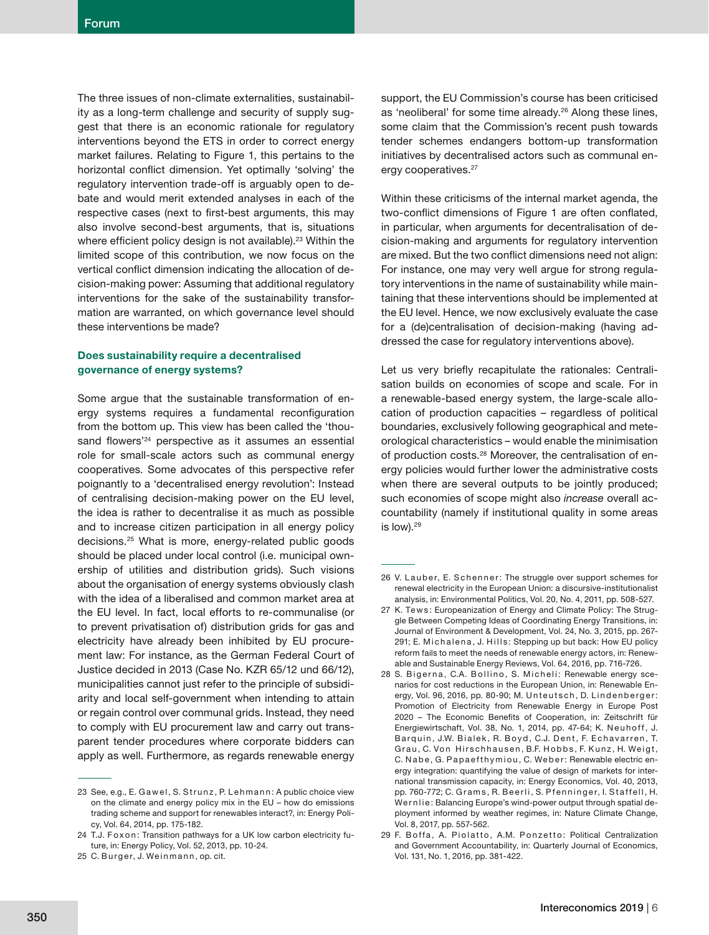The three issues of non-climate externalities, sustainability as a long-term challenge and security of supply suggest that there is an economic rationale for regulatory interventions beyond the ETS in order to correct energy market failures. Relating to Figure 1, this pertains to the horizontal conflict dimension. Yet optimally 'solving' the regulatory intervention trade-off is arguably open to debate and would merit extended analyses in each of the respective cases (next to first-best arguments, this may also involve second-best arguments, that is, situations where efficient policy design is not available).<sup>23</sup> Within the limited scope of this contribution, we now focus on the vertical conflict dimension indicating the allocation of decision-making power: Assuming that additional regulatory interventions for the sake of the sustainability transformation are warranted, on which governance level should these interventions be made?

## **Does sustainability require a decentralised governance of energy systems?**

Some argue that the sustainable transformation of energy systems requires a fundamental reconfiguration from the bottom up. This view has been called the 'thousand flowers<sup>'24</sup> perspective as it assumes an essential role for small-scale actors such as communal energy cooperatives. Some advocates of this perspective refer poignantly to a 'decentralised energy revolution': Instead of centralising decision-making power on the EU level, the idea is rather to decentralise it as much as possible and to increase citizen participation in all energy policy decisions.25 What is more, energy-related public goods should be placed under local control (i.e. municipal ownership of utilities and distribution grids). Such visions about the organisation of energy systems obviously clash with the idea of a liberalised and common market area at the EU level. In fact, local efforts to re-communalise (or to prevent privatisation of) distribution grids for gas and electricity have already been inhibited by EU procurement law: For instance, as the German Federal Court of Justice decided in 2013 (Case No. KZR 65/12 und 66/12), municipalities cannot just refer to the principle of subsidiarity and local self-government when intending to attain or regain control over communal grids. Instead, they need to comply with EU procurement law and carry out transparent tender procedures where corporate bidders can apply as well. Furthermore, as regards renewable energy

support, the EU Commission's course has been criticised as 'neoliberal' for some time already.<sup>26</sup> Along these lines, some claim that the Commission's recent push towards tender schemes endangers bottom-up transformation initiatives by decentralised actors such as communal energy cooperatives.<sup>27</sup>

Within these criticisms of the internal market agenda, the two-conflict dimensions of Figure 1 are often conflated, in particular, when arguments for decentralisation of decision-making and arguments for regulatory intervention are mixed. But the two conflict dimensions need not align: For instance, one may very well argue for strong regulatory interventions in the name of sustainability while maintaining that these interventions should be implemented at the EU level. Hence, we now exclusively evaluate the case for a (de)centralisation of decision-making (having addressed the case for regulatory interventions above).

Let us very briefly recapitulate the rationales: Centralisation builds on economies of scope and scale. For in a renewable-based energy system, the large-scale allocation of production capacities – regardless of political boundaries, exclusively following geographical and meteorological characteristics – would enable the minimisation of production costs.28 Moreover, the centralisation of energy policies would further lower the administrative costs when there are several outputs to be jointly produced; such economies of scope might also *increase* overall accountability (namely if institutional quality in some areas is low).<sup>29</sup>

<sup>23</sup> See, e.g., E. Gawel, S. Strunz, P. Lehmann: A public choice view on the climate and energy policy mix in the EU – how do emissions trading scheme and support for renewables interact?, in: Energy Policy, Vol. 64, 2014, pp. 175-182.

<sup>24</sup> T.J. Foxon: Transition pathways for a UK low carbon electricity future, in: Energy Policy, Vol. 52, 2013, pp. 10-24.

<sup>25</sup> C. Burger, J. Weinmann, op. cit.

<sup>26</sup> V. Lauber, E. Schenner: The struggle over support schemes for renewal electricity in the European Union: a discursive-institutionalist analysis, in: Environmental Politics, Vol. 20, No. 4, 2011, pp. 508-527.

<sup>27</sup> K. Tews: Europeanization of Energy and Climate Policy: The Struggle Between Competing Ideas of Coordinating Energy Transitions, in: Journal of Environment & Development, Vol. 24, No. 3, 2015, pp. 267- 291; E. Michalena, J. Hills: Stepping up but back: How EU policy reform fails to meet the needs of renewable energy actors, in: Renewable and Sustainable Energy Reviews, Vol. 64, 2016, pp. 716-726.

<sup>28</sup> S. Bigerna, C.A. Bollino, S. Micheli: Renewable energy scenarios for cost reductions in the European Union, in: Renewable Energy, Vol. 96, 2016, pp. 80-90; M. Unteutsch, D. Lindenberger: Promotion of Electricity from Renewable Energy in Europe Post 2020 - The Economic Benefits of Cooperation, in: Zeitschrift für Energiewirtschaft, Vol. 38, No. 1, 2014, pp. 47-64; K. Neuhoff, J. Barquin, J.W. Bialek, R. Boyd, C.J. Dent, F. Echavarren, T. Grau, C. Von Hirschhausen, B.F. Hobbs, F. Kunz, H. Weigt, C. Nabe, G. Papaefthymiou, C. Weber: Renewable electric energy integration: quantifying the value of design of markets for international transmission capacity, in: Energy Economics, Vol. 40, 2013, pp. 760-772; C. Grams, R. Beerli, S. Pfenninger, I. Staffell, H. Wernlie: Balancing Europe's wind-power output through spatial deployment informed by weather regimes, in: Nature Climate Change, Vol. 8, 2017, pp. 557-562.

<sup>29</sup> F. B offa, A. Piolatto, A.M. Ponzetto: Political Centralization and Government Accountability, in: Quarterly Journal of Economics, Vol. 131, No. 1, 2016, pp. 381-422.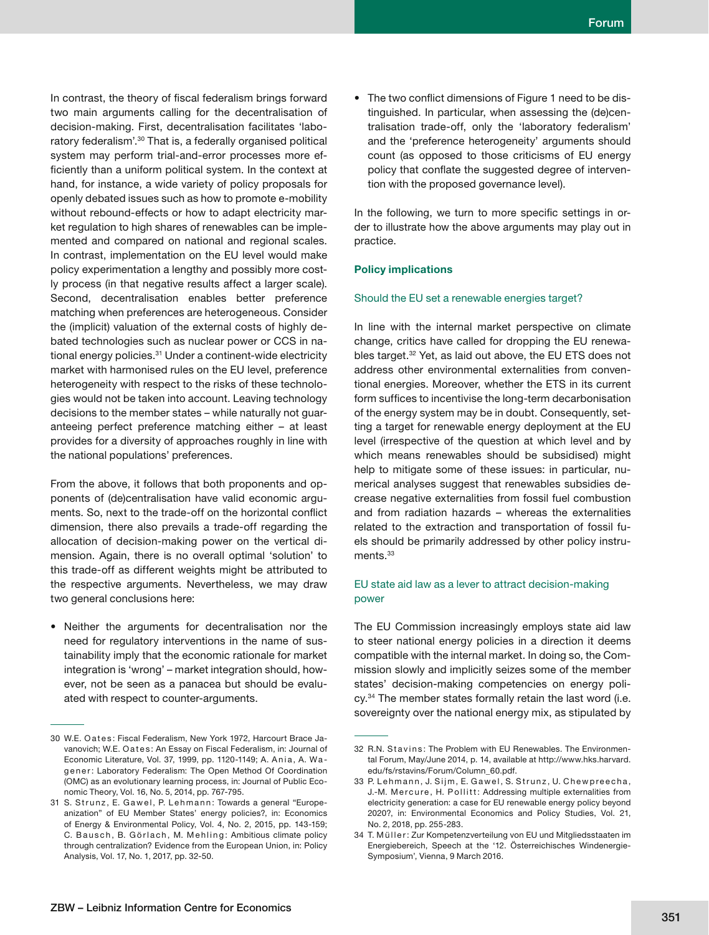In contrast, the theory of fiscal federalism brings forward two main arguments calling for the decentralisation of decision-making. First, decentralisation facilitates 'laboratory federalism'.30 That is, a federally organised political system may perform trial-and-error processes more efficiently than a uniform political system. In the context at hand, for instance, a wide variety of policy proposals for openly debated issues such as how to promote e-mobility without rebound-effects or how to adapt electricity market regulation to high shares of renewables can be implemented and compared on national and regional scales. In contrast, implementation on the EU level would make policy experimentation a lengthy and possibly more costly process (in that negative results affect a larger scale). Second, decentralisation enables better preference matching when preferences are heterogeneous. Consider the (implicit) valuation of the external costs of highly debated technologies such as nuclear power or CCS in national energy policies.31 Under a continent-wide electricity market with harmonised rules on the EU level, preference heterogeneity with respect to the risks of these technologies would not be taken into account. Leaving technology decisions to the member states – while naturally not guaranteeing perfect preference matching either – at least provides for a diversity of approaches roughly in line with the national populations' preferences.

From the above, it follows that both proponents and opponents of (de)centralisation have valid economic arguments. So, next to the trade-off on the horizontal conflict dimension, there also prevails a trade-off regarding the allocation of decision-making power on the vertical dimension. Again, there is no overall optimal 'solution' to this trade-off as different weights might be attributed to the respective arguments. Nevertheless, we may draw two general conclusions here:

• Neither the arguments for decentralisation nor the need for regulatory interventions in the name of sustainability imply that the economic rationale for market integration is 'wrong' – market integration should, however, not be seen as a panacea but should be evaluated with respect to counter-arguments.

The two conflict dimensions of Figure 1 need to be distinguished. In particular, when assessing the (de)centralisation trade-off, only the 'laboratory federalism' and the 'preference heterogeneity' arguments should count (as opposed to those criticisms of EU energy policy that conflate the suggested degree of intervention with the proposed governance level).

In the following, we turn to more specific settings in order to illustrate how the above arguments may play out in practice.

#### **Policy implications**

#### Should the EU set a renewable energies target?

In line with the internal market perspective on climate change, critics have called for dropping the EU renewables target.<sup>32</sup> Yet, as laid out above, the EU ETS does not address other environmental externalities from conventional energies. Moreover, whether the ETS in its current form suffices to incentivise the long-term decarbonisation of the energy system may be in doubt. Consequently, setting a target for renewable energy deployment at the EU level (irrespective of the question at which level and by which means renewables should be subsidised) might help to mitigate some of these issues: in particular, numerical analyses suggest that renewables subsidies decrease negative externalities from fossil fuel combustion and from radiation hazards – whereas the externalities related to the extraction and transportation of fossil fuels should be primarily addressed by other policy instruments.<sup>33</sup>

## EU state aid law as a lever to attract decision-making power

The EU Commission increasingly employs state aid law to steer national energy policies in a direction it deems compatible with the internal market. In doing so, the Commission slowly and implicitly seizes some of the member states' decision-making competencies on energy policy.<sup>34</sup> The member states formally retain the last word (i.e. sovereignty over the national energy mix, as stipulated by

<sup>30</sup> W.E. Oates: Fiscal Federalism, New York 1972, Harcourt Brace Javanovich: W.E. O a t e s : An Essay on Fiscal Federalism, in: Journal of Economic Literature, Vol. 37, 1999, pp. 1120-1149; A. Ania, A. Wagener: Laboratory Federalism: The Open Method Of Coordination (OMC) as an evolutionary learning process, in: Journal of Public Economic Theory, Vol. 16, No. 5, 2014, pp. 767-795.

<sup>31</sup> S. Strunz, E. Gawel, P. Lehmann: Towards a general "Europeanization" of EU Member States' energy policies?, in: Economics of Energy & Environmental Policy, Vol. 4, No. 2, 2015, pp. 143-159; C. Bausch, B. Görlach, M. Mehling: Ambitious climate policy through centralization? Evidence from the European Union, in: Policy Analysis, Vol. 17, No. 1, 2017, pp. 32-50.

<sup>32</sup> R.N. Stavins: The Problem with EU Renewables. The Environmental Forum, May/June 2014, p. 14, available at http://www.hks.harvard. edu/fs/rstavins/Forum/Column\_60.pdf.

<sup>33</sup> P. Lehmann, J. Sijm, E. Gawel, S. Strunz, U. Chewpreecha, J.-M. Mercure, H. Pollitt: Addressing multiple externalities from electricity generation: a case for EU renewable energy policy beyond 2020?, in: Environmental Economics and Policy Studies, Vol. 21, No. 2, 2018, pp. 255-283.

<sup>34</sup> T. Müller: Zur Kompetenzverteilung von EU und Mitgliedsstaaten im Energiebereich, Speech at the '12. Österreichisches Windenergie-Symposium', Vienna, 9 March 2016.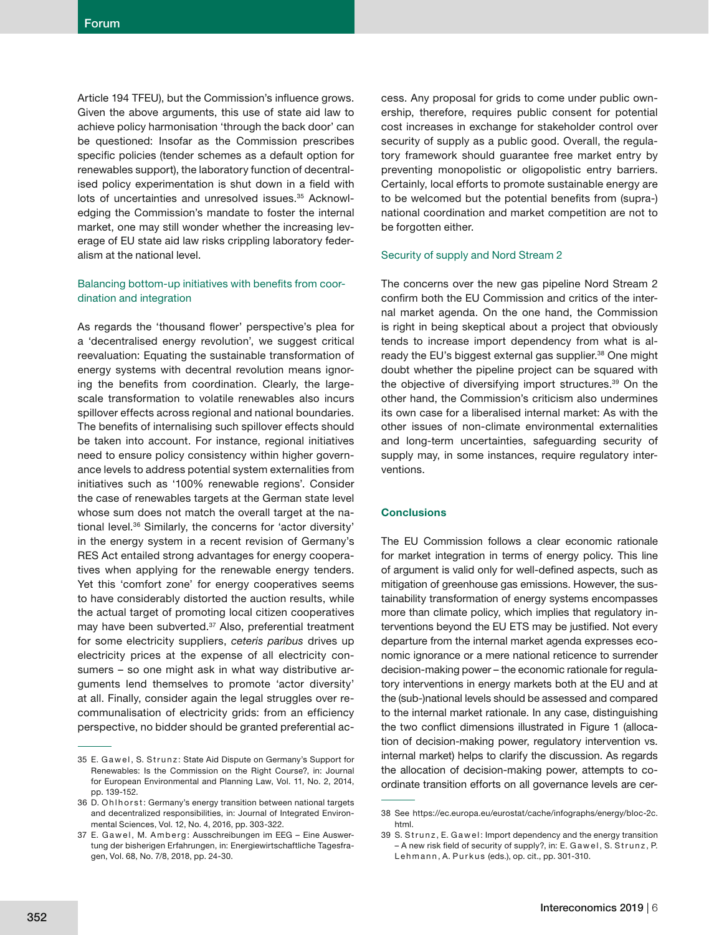Article 194 TFEU), but the Commission's influence grows. Given the above arguments, this use of state aid law to achieve policy harmonisation 'through the back door' can be questioned: Insofar as the Commission prescribes specific policies (tender schemes as a default option for renewables support), the laboratory function of decentralised policy experimentation is shut down in a field with lots of uncertainties and unresolved issues.<sup>35</sup> Acknowledging the Commission's mandate to foster the internal market, one may still wonder whether the increasing leverage of EU state aid law risks crippling laboratory federalism at the national level.

## Balancing bottom-up initiatives with benefits from coordination and integration

As regards the 'thousand flower' perspective's plea for a 'decentralised energy revolution', we suggest critical reevaluation: Equating the sustainable transformation of energy systems with decentral revolution means ignoring the benefits from coordination. Clearly, the largescale transformation to volatile renewables also incurs spillover effects across regional and national boundaries. The benefits of internalising such spillover effects should be taken into account. For instance, regional initiatives need to ensure policy consistency within higher governance levels to address potential system externalities from initiatives such as '100% renewable regions'. Consider the case of renewables targets at the German state level whose sum does not match the overall target at the national level.36 Similarly, the concerns for 'actor diversity' in the energy system in a recent revision of Germany's RES Act entailed strong advantages for energy cooperatives when applying for the renewable energy tenders. Yet this 'comfort zone' for energy cooperatives seems to have considerably distorted the auction results, while the actual target of promoting local citizen cooperatives may have been subverted.<sup>37</sup> Also, preferential treatment for some electricity suppliers, *ceteris paribus* drives up electricity prices at the expense of all electricity consumers – so one might ask in what way distributive arguments lend themselves to promote 'actor diversity' at all. Finally, consider again the legal struggles over recommunalisation of electricity grids: from an efficiency perspective, no bidder should be granted preferential access. Any proposal for grids to come under public ownership, therefore, requires public consent for potential cost increases in exchange for stakeholder control over security of supply as a public good. Overall, the regulatory framework should guarantee free market entry by preventing monopolistic or oligopolistic entry barriers. Certainly, local efforts to promote sustainable energy are to be welcomed but the potential benefits from (supra-) national coordination and market competition are not to be forgotten either.

## Security of supply and Nord Stream 2

The concerns over the new gas pipeline Nord Stream 2 confirm both the EU Commission and critics of the internal market agenda. On the one hand, the Commission is right in being skeptical about a project that obviously tends to increase import dependency from what is already the EU's biggest external gas supplier.<sup>38</sup> One might doubt whether the pipeline project can be squared with the objective of diversifying import structures.<sup>39</sup> On the other hand, the Commission's criticism also undermines its own case for a liberalised internal market: As with the other issues of non-climate environmental externalities and long-term uncertainties, safeguarding security of supply may, in some instances, require regulatory interventions.

# **Conclusions**

The EU Commission follows a clear economic rationale for market integration in terms of energy policy. This line of argument is valid only for well-defined aspects, such as mitigation of greenhouse gas emissions. However, the sustainability transformation of energy systems encompasses more than climate policy, which implies that regulatory interventions beyond the EU ETS may be justified. Not every departure from the internal market agenda expresses economic ignorance or a mere national reticence to surrender decision-making power – the economic rationale for regulatory interventions in energy markets both at the EU and at the (sub-)national levels should be assessed and compared to the internal market rationale. In any case, distinguishing the two conflict dimensions illustrated in Figure 1 (allocation of decision-making power, regulatory intervention vs. internal market) helps to clarify the discussion. As regards the allocation of decision-making power, attempts to coordinate transition efforts on all governance levels are cer-

<sup>35</sup> E. Gawel, S. Strunz: State Aid Dispute on Germany's Support for Renewables: Is the Commission on the Right Course?, in: Journal for European Environmental and Planning Law, Vol. 11, No. 2, 2014, pp. 139-152.

<sup>36</sup> D. Ohlhorst: Germany's energy transition between national targets and decentralized responsibilities, in: Journal of Integrated Environmental Sciences, Vol. 12, No. 4, 2016, pp. 303-322.

<sup>37</sup> E. Gawel, M. Amberg: Ausschreibungen im EEG - Eine Auswertung der bisherigen Erfahrungen, in: Energiewirtschaftliche Tagesfragen, Vol. 68, No. 7/8, 2018, pp. 24-30.

<sup>38</sup> See https://ec.europa.eu/eurostat/cache/infographs/energy/bloc-2c. html.

<sup>39</sup> S. Strunz, E. Gawel: Import dependency and the energy transition  $-$  A new risk field of security of supply?, in: E. Gawel, S. Strunz, P. Lehmann, A. Purkus (eds.), op. cit., pp. 301-310.